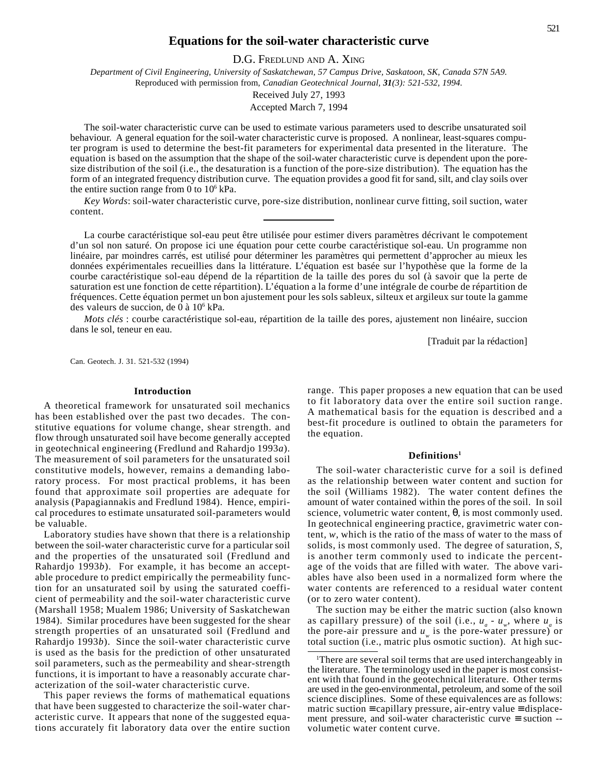## **Equations for the soil-water characteristic curve**

D.G. FREDLUND AND A. XING

*Department of Civil Engineering, University of Saskatchewan, 57 Campus Drive, Saskatoon, SK, Canada S7N 5A9.* Reproduced with permission from, *Canadian Geotechnical Journal, 31(3): 521-532, 1994.*

> Received July 27, 1993 Accepted March 7, 1994

The soil-water characteristic curve can be used to estimate various parameters used to describe unsaturated soil behaviour. A general equation for the soil-water characteristic curve is proposed. A nonlinear, least-squares computer program is used to determine the best-fit parameters for experimental data presented in the literature. The equation is based on the assumption that the shape of the soil-water characteristic curve is dependent upon the poresize distribution of the soil (i.e., the desaturation is a function of the pore-size distribution). The equation has the form of an integrated frequency distribution curve. The equation provides a good fit for sand, silt, and clay soils over the entire suction range from 0 to  $10^6$  kPa.

*Key Words*: soil-water characteristic curve, pore-size distribution, nonlinear curve fitting, soil suction, water content.

La courbe caractéristique sol-eau peut être utilisée pour estimer divers paramètres décrivant le compotement d'un sol non saturé. On propose ici une équation pour cette courbe caractéristique sol-eau. Un programme non linéaire, par moindres carrés, est utilisé pour déterminer les paramètres qui permettent d'approcher au mieux les données expérimentales recueillies dans la littérature. L'équation est basée sur l'hypothèse que la forme de la courbe caractéristique sol-eau dépend de la répartition de la taille des pores du sol (à savoir que la perte de saturation est une fonction de cette répartition). L'équation a la forme d'une intégrale de courbe de répartition de fréquences. Cette équation permet un bon ajustement pour les sols sableux, silteux et argileux sur toute la gamme des valeurs de succion, de 0 à 10<sup>6</sup> kPa.

*Mots clés* : courbe caractéristique sol-eau, répartition de la taille des pores, ajustement non linéaire, succion dans le sol, teneur en eau.

[Traduit par la rédaction]

Can. Geotech. J. 31. 521-532 (1994)

#### **Introduction**

A theoretical framework for unsaturated soil mechanics has been established over the past two decades. The constitutive equations for volume change, shear strength. and flow through unsaturated soil have become generally accepted in geotechnical engineering (Fredlund and Rahardjo 1993*a*). The measurement of soil parameters for the unsaturated soil constitutive models, however, remains a demanding laboratory process. For most practical problems, it has been found that approximate soil properties are adequate for analysis (Papagiannakis and Fredlund 1984). Hence, empirical procedures to estimate unsaturated soil-parameters would be valuable.

Laboratory studies have shown that there is a relationship between the soil-water characteristic curve for a particular soil and the properties of the unsaturated soil (Fredlund and Rahardjo 1993*b*). For example, it has become an acceptable procedure to predict empirically the permeability function for an unsaturated soil by using the saturated coefficient of permeability and the soil-water characteristic curve (Marshall 1958; Mualem 1986; University of Saskatchewan 1984). Similar procedures have been suggested for the shear strength properties of an unsaturated soil (Fredlund and Rahardjo 1993*b*). Since the soil-water characteristic curve is used as the basis for the prediction of other unsaturated soil parameters, such as the permeability and shear-strength functions, it is important to have a reasonably accurate characterization of the soil-water characteristic curve.

This paper reviews the forms of mathematical equations that have been suggested to characterize the soil-water characteristic curve. It appears that none of the suggested equations accurately fit laboratory data over the entire suction range. This paper proposes a new equation that can be used to fit laboratory data over the entire soil suction range. A mathematical basis for the equation is described and a best-fit procedure is outlined to obtain the parameters for the equation.

## **Definitions1**

The soil-water characteristic curve for a soil is defined as the relationship between water content and suction for the soil (Williams 1982). The water content defines the amount of water contained within the pores of the soil. In soil science, volumetric water content,  $\theta$ , is most commonly used. In geotechnical engineering practice, gravimetric water content, *w*, which is the ratio of the mass of water to the mass of solids, is most commonly used. The degree of saturation, *S*, is another term commonly used to indicate the percentage of the voids that are filled with water. The above variables have also been used in a normalized form where the water contents are referenced to a residual water content (or to zero water content).

The suction may be either the matric suction (also known as capillary pressure) of the soil (i.e.,  $u_a - u_w$ , where  $u_a$  is the pore-air pressure and  $u_{\mu}$  is the pore-water pressure) or total suction (i.e., matric plus osmotic suction). At high suc-

<sup>&</sup>lt;sup>1</sup>There are several soil terms that are used interchangeably in the literature. The terminology used in the paper is most consistent with that found in the geotechnical literature. Other terms are used in the geo-environmental, petroleum, and some of the soil science disciplines. Some of these equivalences are as follows: matric suction ≡ capillary pressure, air-entry value ≡ displacement pressure, and soil-water characteristic curve ≡ suction - volumetic water content curve.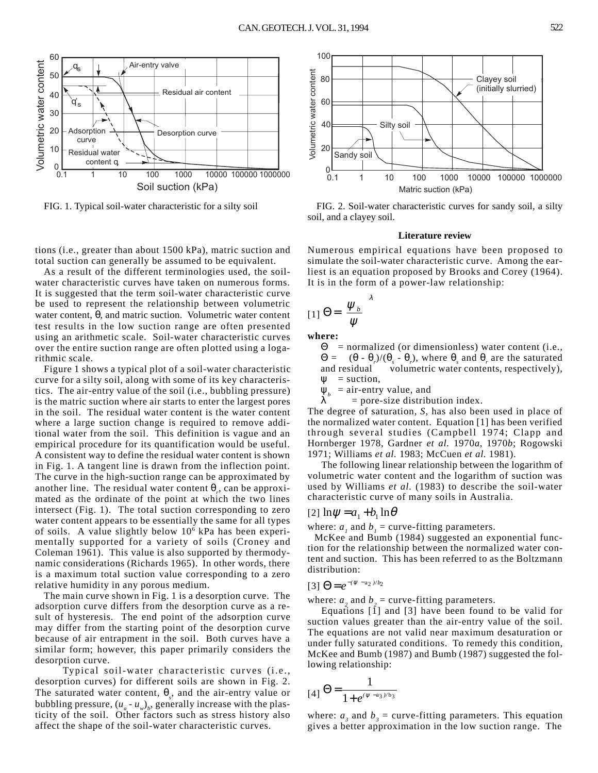

tions (i.e., greater than about 1500 kPa), matric suction and total suction can generally be assumed to be equivalent.

As a result of the different terminologies used, the soilwater characteristic curves have taken on numerous forms. It is suggested that the term soil-water characteristic curve be used to represent the relationship between volumetric water content, θ*,* and matric suction. Volumetric water content test results in the low suction range are often presented using an arithmetic scale. Soil-water characteristic curves over the entire suction range are often plotted using a logarithmic scale.

Figure 1 shows a typical plot of a soil-water characteristic curve for a silty soil, along with some of its key characteristics. The air-entry value of the soil (i.e., bubbling pressure) is the matric suction where air starts to enter the largest pores in the soil. The residual water content is the water content where a large suction change is required to remove additional water from the soil. This definition is vague and an empirical procedure for its quantification would be useful. A consistent way to define the residual water content is shown in Fig. 1. A tangent line is drawn from the inflection point. The curve in the high-suction range can be approximated by another line. The residual water content θ<sub>*r*</sub>, can be approximated as the ordinate of the point at which the two lines intersect (Fig. 1). The total suction corresponding to zero water content appears to be essentially the same for all types of soils. A value slightly below 10<sup>6</sup> kPa has been experimentally supported for a variety of soils (Croney and Coleman 1961). This value is also supported by thermodynamic considerations (Richards 1965). In other words, there is a maximum total suction value corresponding to a zero relative humidity in any porous medium.

The main curve shown in Fig. 1 is a desorption curve. The adsorption curve differs from the desorption curve as a result of hysteresis. The end point of the adsorption curve may differ from the starting point of the desorption curve because of air entrapment in the soil. Both curves have a similar form; however, this paper primarily considers the desorption curve.

Typical soil-water characteristic curves (i.e., desorption curves) for different soils are shown in Fig. 2. The saturated water content,  $\theta_s$ , and the air-entry value or bubbling pressure,  $(u_a - u_w)_b$ , generally increase with the plasticity of the soil. Other factors such as stress history also affect the shape of the soil-water characteristic curves.



FIG. 1. Typical soil-water characteristic for a silty soil FIG. 2. Soil-water characteristic curves for sandy soil, a silty soil, and a clayey soil.

#### **Literature review**

Numerous empirical equations have been proposed to simulate the soil-water characteristic curve. Among the earliest is an equation proposed by Brooks and Corey (1964). It is in the form of a power-law relationship:

$$
[1] \Theta = \left(\frac{\psi_b}{\psi}\right)^{\lambda}
$$

**where:**

 $\Theta$  = normalized (or dimensionless) water content (i.e., Θ =  $(θ - θ<sub>r</sub>)/(θ<sub>s</sub> - θ<sub>r</sub>)$ , where  $θ<sub>s</sub>$  and  $θ<sub>r</sub>$  are the saturated and residual volumetric water contents, respectively),  $\mathbf{w}$  = suction.

 $\Psi_b$  = air-entry value, and<br>  $\lambda$  = pore-size distribution

 $=$  pore-size distribution index.

The degree of saturation, *S*, has also been used in place of the normalized water content. Equation [1] has been verified through several studies (Campbell 1974; Clapp and Hornberger 1978, Gardner *et al.* 1970*a*, 1970*b*; Rogowski 1971; Williams *et al.* 1983; McCuen *et al.* 1981).

The following linear relationship between the logarithm of volumetric water content and the logarithm of suction was used by Williams *et al.* (1983) to describe the soil-water characteristic curve of many soils in Australia.

## $[2] \ln \psi = a_1 + b_1 \ln \theta$

where:  $a_1$  and  $b_1$  = curve-fitting parameters.

McKee and Bumb (1984) suggested an exponential function for the relationship between the normalized water content and suction. This has been referred to as the Boltzmann distribution:

# $[3]$   $\Theta = e^{-(\psi - a_2)/b_2}$

where:  $a_2$  and  $b_2$  = curve-fitting parameters.

Equations  $[\hat{1}]$  and  $[3]$  have been found to be valid for suction values greater than the air-entry value of the soil. The equations are not valid near maximum desaturation or under fully saturated conditions. To remedy this condition, McKee and Bumb (1987) and Bumb (1987) suggested the following relationship:

$$
[4] \Theta = \frac{1}{1 + e^{(\psi - a_3)/b_3}}
$$

where:  $a_3$  and  $b_3$  = curve-fitting parameters. This equation gives a better approximation in the low suction range. The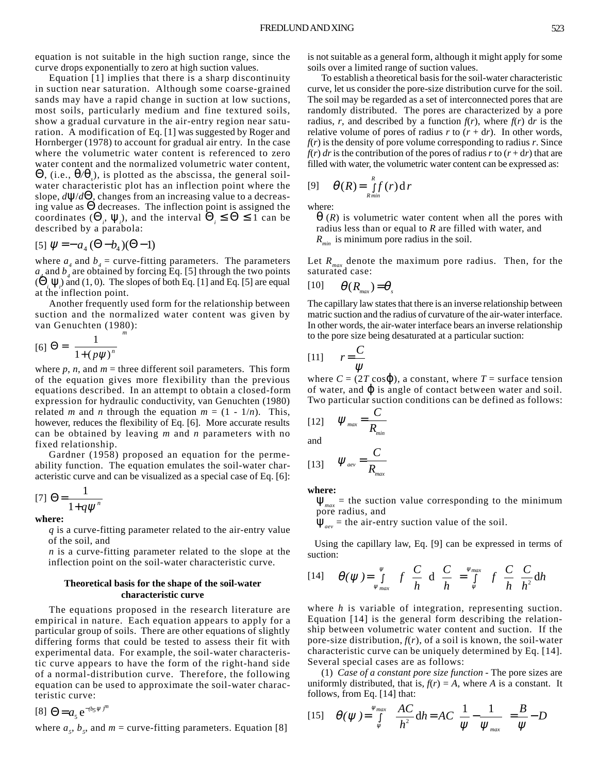equation is not suitable in the high suction range, since the curve drops exponentially to zero at high suction values.

Equation [1] implies that there is a sharp discontinuity in suction near saturation. Although some coarse-grained sands may have a rapid change in suction at low suctions, most soils, particularly medium and fine textured soils, show a gradual curvature in the air-entry region near saturation. A modification of Eq. [1] was suggested by Roger and Hornberger (1978) to account for gradual air entry. In the case where the volumetric water content is referenced to zero water content and the normalized volumetric water content, Θ, (i.e., θ*/*θ*<sup>s</sup>* ), is plotted as the abscissa, the general soilwater characteristic plot has an inflection point where the slope, *d*ψ/*d*Θ, changes from an increasing value to a decreasing value as  $\Theta$  decreases. The inflection point is assigned the coordinates  $(\Theta_i, \Psi_i)$ , and the interval  $\Theta_i \leq \Theta \leq 1$  can be described by a parabola:

[5] 
$$
\psi = -a_4 (\Theta - b_4)(\Theta - 1)
$$

where  $a_4$  and  $b_4$  = curve-fitting parameters. The parameters  $a_4$  and  $b_4$  are obtained by forcing Eq. [5] through the two points  $(\dot{\Theta}_i, \Psi_i)$  and (1, 0). The slopes of both Eq. [1] and Eq. [5] are equal at the inflection point.

Another frequently used form for the relationship between suction and the normalized water content was given by van Genuchten (1980):

$$
[6]\Theta = \left[\frac{1}{1 + (p\psi)^n}\right]^m
$$

where  $p$ ,  $n$ , and  $m$  = three different soil parameters. This form of the equation gives more flexibility than the previous equations described. In an attempt to obtain a closed-form expression for hydraulic conductivity, van Genuchten (1980) related *m* and *n* through the equation  $m = (1 - 1/n)$ . This, however, reduces the flexibility of Eq. [6]. More accurate results can be obtained by leaving *m* and *n* parameters with no fixed relationship.

Gardner (1958) proposed an equation for the permeability function. The equation emulates the soil-water characteristic curve and can be visualized as a special case of Eq. [6]:

$$
[7] \Theta = \frac{1}{1 + q\psi^n}
$$

**where:**

*q* is a curve-fitting parameter related to the air-entry value of the soil, and

*n* is a curve-fitting parameter related to the slope at the inflection point on the soil-water characteristic curve.

## **Theoretical basis for the shape of the soil-water characteristic curve**

The equations proposed in the research literature are empirical in nature. Each equation appears to apply for a particular group of soils. There are other equations of slightly differing forms that could be tested to assess their fit with experimental data. For example, the soil-water characteristic curve appears to have the form of the right-hand side of a normal-distribution curve. Therefore, the following equation can be used to approximate the soil-water characteristic curve:

 $[8] \Theta = a_5 e^{-(b_5 \psi)^m}$ 

where  $a_5$ ,  $b_5$ , and  $m =$  curve-fitting parameters. Equation [8]

is not suitable as a general form, although it might apply for some soils over a limited range of suction values.

To establish a theoretical basis for the soil-water characteristic curve, let us consider the pore-size distribution curve for the soil. The soil may be regarded as a set of interconnected pores that are randomly distributed. The pores are characterized by a pore radius, *r*, and described by a function  $f(r)$ , where  $f(r)$  dr is the relative volume of pores of radius  $r$  to  $(r + dr)$ . In other words,  $f(r)$  is the density of pore volume corresponding to radius  $r$ . Since  $f(r)$  *dr* is the contribution of the pores of radius *r* to  $(r + dr)$  that are filled with water, the volumetric water content can be expressed as:

$$
[9] \qquad \theta(R) = \int_{R_{min}}^{R} f(r) \, dr
$$

where:

 $\theta$  (*R*) is volumetric water content when all the pores with radius less than or equal to *R* are filled with water, and *Rmin* is minimum pore radius in the soil.

Let  $R_{\text{max}}$  denote the maximum pore radius. Then, for the saturated case:

$$
[10] \qquad \theta(R_{\text{max}}) = \theta_s
$$

The capillary law states that there is an inverse relationship between matric suction and the radius of curvature of the air-water interface. In other words, the air-water interface bears an inverse relationship to the pore size being desaturated at a particular suction:

$$
[11] \qquad r = \frac{C}{\psi}
$$

where  $C = (2T \cos \phi)$ , a constant, where  $T = \text{surface tension}$ of water, and  $\varphi$  is angle of contact between water and soil. Two particular suction conditions can be defined as follows:

$$
\begin{array}{ll}\n[12] & \psi_{\text{max}} = \frac{C}{R_{\text{min}}} \\
\text{and} & C\n\end{array}
$$

$$
[13] \qquad \Psi_{\text{aev}} = \frac{C}{R_{\text{max}}}
$$

**where:**

 $\Psi_{max}$  = the suction value corresponding to the minimum pore radius, and

 $\Psi_{\text{new}}$  = the air-entry suction value of the soil.

Using the capillary law, Eq. [9] can be expressed in terms of suction:

$$
[14] \qquad \theta(\psi) = \int_{\psi_{max}}^{\psi} f\left(\frac{C}{h}\right) d\left(\frac{C}{h}\right) = \int_{\psi}^{\psi_{max}} f\left(\frac{C}{h}\right) \frac{C}{h^2} dh
$$

where *h* is variable of integration, representing suction. Equation [14] is the general form describing the relationship between volumetric water content and suction. If the pore-size distribution,  $f(r)$ , of a soil is known, the soil-water characteristic curve can be uniquely determined by Eq. [14]. Several special cases are as follows:

(1) *Case of a constant pore size function* - The pore sizes are uniformly distributed, that is,  $f(r) = A$ , where *A* is a constant. It follows, from Eq. [14] that:

$$
[15] \quad \theta(\psi) = \int_{\psi}^{\psi_{max}} \frac{AC}{h^2} dh = AC \left( \frac{1}{\psi} - \frac{1}{\psi_{max}} \right) = \frac{B}{\psi} - D
$$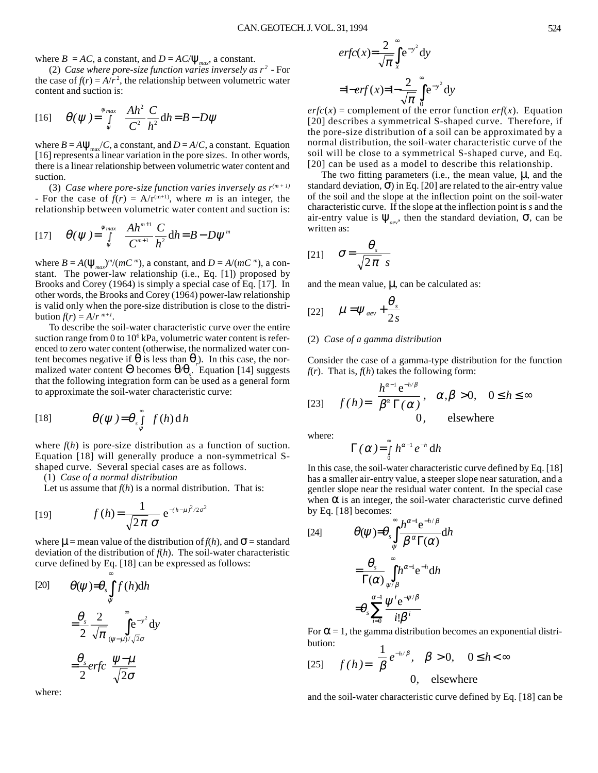where  $B = AC$ , a constant, and  $D = AC/\psi_{max}$ , a constant.

(2) *Case where pore-size function varies inversely as*  $r^2$  *- For* the case of  $f(r) = A/r^2$ , the relationship between volumetric water content and suction is:

[16] 
$$
\theta(\psi) = \int_{\psi}^{\psi_{max}} \frac{Ah^2}{C^2} \frac{C}{h^2} dh = B - D\psi
$$

where  $B = A\Psi_{\text{max}}/C$ , a constant, and  $D = A/C$ , a constant. Equation [16] represents a linear variation in the pore sizes. In other words, there is a linear relationship between volumetric water content and suction.

(3) *Case where pore-size function varies inversely as*  $r^{(m+1)}$ - For the case of  $f(r) = A/r^{(m+1)}$ , where *m* is an integer, the relationship between volumetric water content and suction is:

[17] 
$$
\theta(\psi) = \int_{\psi}^{\psi_{max}} \frac{Ah^{m+1}}{C^{m+1}} \frac{C}{h^2} dh = B - D\psi^{m}
$$

where  $B = A(\psi_{max})^m/(mC^m)$ , a constant, and  $D = A/(mC^m)$ , a constant. The power-law relationship (i.e., Eq. [1]) proposed by Brooks and Corey (1964) is simply a special case of Eq. [17]. In other words, the Brooks and Corey (1964) power-law relationship is valid only when the pore-size distribution is close to the distribution  $f(r) = A/r^{m+1}$ .

To describe the soil-water characteristic curve over the entire suction range from 0 to  $10^6$  kPa, volumetric water content is referenced to zero water content (otherwise, the normalized water content becomes negative if  $\theta$  is less than  $\theta$ <sup>*r*</sup>). In this case, the normalized water content Θ becomes θ*/*θ*<sup>s</sup>* . Equation [14] suggests that the following integration form can be used as a general form to approximate the soil-water characteristic curve:

[18] 
$$
\theta(\psi) = \theta \int_{\psi}^{\infty} f(h) dh
$$

where  $f(h)$  is pore-size distribution as a function of suction. Equation [18] will generally produce a non-symmetrical Sshaped curve. Several special cases are as follows.

(1) *Case of a normal distribution*

Let us assume that  $f(h)$  is a normal distribution. That is:

[19] 
$$
f(h) = \frac{1}{\sqrt{2\pi} \sigma} e^{-(h-\mu)^2/2\sigma^2}
$$

where  $\mu$  = mean value of the distribution of  $f(h)$ , and  $\sigma$  = standard deviation of the distribution of *f*(*h*). The soil-water characteristic curve defined by Eq. [18] can be expressed as follows:

[20] 
$$
\theta(\psi) = \theta_s \int_{\psi}^{\infty} f(h) dh
$$

$$
= \frac{\theta_s}{2} \frac{2}{\sqrt{\pi}} \int_{(\psi-\mu)/\sqrt{2}\sigma}^{\infty} dy
$$

$$
= \frac{\theta_s}{2} erfc\left(\frac{\psi-\mu}{\sqrt{2}\sigma}\right)
$$

where:

$$
erfc(x) = \frac{2}{\sqrt{\pi}} \int_{x}^{\infty} e^{-y^2} dy
$$
  
=1-erf(x)=1- $\frac{2}{\sqrt{\pi}} \int_{0}^{\infty} e^{-y^2} dy$ 

 $erfc(x) =$  complement of the error function *erf*(*x*). Equation [20] describes a symmetrical S-shaped curve. Therefore, if the pore-size distribution of a soil can be approximated by a normal distribution, the soil-water characteristic curve of the soil will be close to a symmetrical S-shaped curve, and Eq. [20] can be used as a model to describe this relationship.

The two fitting parameters (i.e., the mean value,  $\mu$ , and the standard deviation,  $\sigma$ ) in Eq. [20] are related to the air-entry value of the soil and the slope at the inflection point on the soil-water characteristic curve. If the slope at the inflection point is *s* and the air-entry value is  $\Psi_{\text{av}}$ , then the standard deviation,  $\sigma$ , can be written as:

$$
[21] \quad \sigma = \frac{\theta_s}{\sqrt{2\pi} s}
$$

and the mean value,  $\mu$ , can be calculated as:

$$
[22] \qquad \mu = \psi_{\text{aev}} + \frac{\theta_s}{2s}
$$

#### (2) *Case of a gamma distribution*

Consider the case of a gamma-type distribution for the function  $f(r)$ . That is,  $f(h)$  takes the following form:

$$
[23] \quad f(h) = \begin{cases} \frac{h^{\alpha - 1} e^{-h/\beta}}{\beta^{\alpha} \Gamma(\alpha)}, & \alpha, \beta > 0, \quad 0 \le h \le \infty \\ 0, & \text{elsewhere} \end{cases}
$$

where:

$$
\Gamma(\alpha) = \int_{0}^{\infty} h^{\alpha-1} e^{-h} dh
$$

In this case, the soil-water characteristic curve defined by Eq. [18] has a smaller air-entry value, a steeper slope near saturation, and a gentler slope near the residual water content. In the special case when  $\alpha$  is an integer, the soil-water characteristic curve defined by Eq. [18] becomes:

[24]  
\n
$$
\theta(\psi) = \theta_s \int_{\psi}^{\infty} \frac{h^{\alpha - 1} e^{-h/\beta}}{\beta^{\alpha} \Gamma(\alpha)} dh
$$
\n
$$
= \frac{\theta_s}{\Gamma(\alpha)} \int_{\psi/\beta}^{\infty} h^{\alpha - 1} e^{-h} dh
$$
\n
$$
= \theta_s \sum_{i=0}^{\alpha - 1} \frac{\psi^i e^{-\psi/\beta}}{i! \beta^i}
$$

For  $\alpha$  = 1, the gamma distribution becomes an exponential distribution:

[25] 
$$
f(h) = \begin{cases} \frac{1}{\beta} e^{-h/\beta}, & \beta > 0, \quad 0 \le h < \infty \\ 0, & \text{elsewhere} \end{cases}
$$

and the soil-water characteristic curve defined by Eq. [18] can be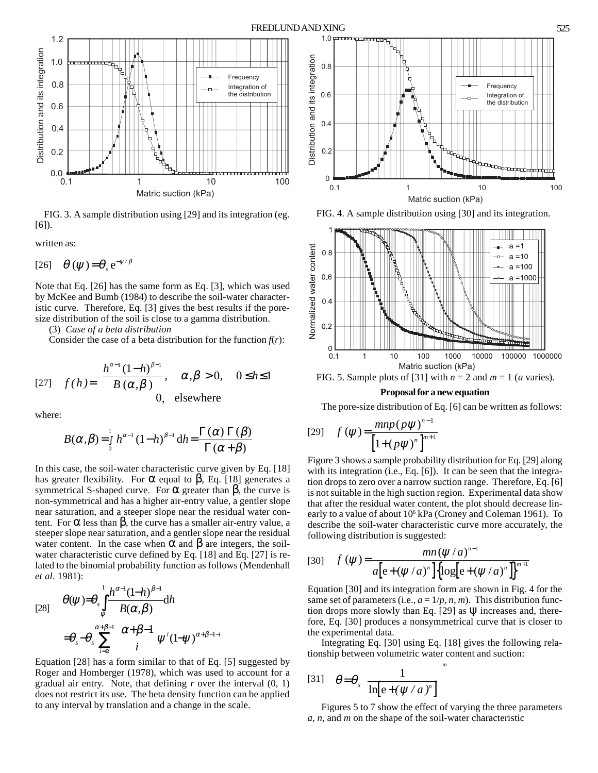

FIG. 3. A sample distribution using [29] and its integration (eg. [6]).

written as:

$$
[26] \quad \theta \left( \psi \right) = \theta_s e^{-\psi/\beta}
$$

Note that Eq. [26] has the same form as Eq. [3], which was used by McKee and Bumb (1984) to describe the soil-water characteristic curve. Therefore, Eq. [3] gives the best results if the poresize distribution of the soil is close to a gamma distribution.

(3) *Case of a beta distribution*

Consider the case of a beta distribution for the function  $f(r)$ :

$$
[27] \quad f(h) = \begin{cases} \frac{h^{\alpha-1} (1-h)^{\beta-1}}{B(\alpha, \beta)}, & \alpha, \beta > 0, \quad 0 \le h \le 1\\ 0, & \text{elsewhere} \end{cases}
$$

where:

$$
B(\alpha, \beta) = \int_{0}^{1} h^{\alpha-1} (1-h)^{\beta-1} dh = \frac{\Gamma(\alpha) \Gamma(\beta)}{\Gamma(\alpha + \beta)}
$$

In this case, the soil-water characteristic curve given by Eq. [18] has greater flexibility. For  $\alpha$  equal to  $\beta$ , Eq. [18] generates a symmetrical S-shaped curve. For  $\alpha$  greater than  $\beta$ , the curve is non-symmetrical and has a higher air-entry value, a gentler slope near saturation, and a steeper slope near the residual water content. For  $\alpha$  less than  $\beta$ , the curve has a smaller air-entry value, a steeper slope near saturation, and a gentler slope near the residual water content. In the case when  $\alpha$  and  $\beta$  are integers, the soilwater characteristic curve defined by Eq. [18] and Eq. [27] is related to the binomial probability function as follows (Mendenhall *et al*. 1981):

$$
\begin{array}{ll}\n\mathcal{O}(\psi) = & \theta_s \int_{\psi}^{1} \frac{h^{\alpha-1} (1-h)^{\beta-1}}{B(\alpha,\beta)} \mathrm{d}h \\
\quad = & \theta_s - \theta_s \sum_{i=\alpha}^{\alpha+\beta-1} \left( \frac{\alpha+\beta-1}{i} \right) \psi^i (1-\psi)^{\alpha+\beta-1-i}\n\end{array}
$$

Equation [28] has a form similar to that of Eq. [5] suggested by Roger and Homberger (1978), which was used to account for a gradual air entry. Note, that defining *r* over the interval (0, 1) does not restrict its use. The beta density function can be applied to any interval by translation and a change in the scale.



FIG. 4. A sample distribution using [30] and its integration.



FIG. 5. Sample plots of [31] with  $n = 2$  and  $m = 1$  (*a* varies).

## **Proposal for a new equation**

The pore-size distribution of Eq. [6] can be written as follows:

[29] 
$$
f(\psi) = \frac{mnp(p\psi)^{n-1}}{\left[1 + (p\psi)^n\right]^{m+1}}
$$

Figure 3 shows a sample probability distribution for Eq. [29] along with its integration (i.e., Eq. [6]). It can be seen that the integration drops to zero over a narrow suction range. Therefore, Eq. [6] is not suitable in the high suction region. Experimental data show that after the residual water content, the plot should decrease linearly to a value of about 10<sup>6</sup> kPa (Croney and Coleman 1961). To describe the soil-water characteristic curve more accurately, the following distribution is suggested:

[30] 
$$
f(\psi) = \frac{mn(\psi/a)^{n-1}}{a[e+(\psi/a)^n]\left{\log[e+(\psi/a)^n]\right\}^{m+1}}
$$

Equation [30] and its integration form are shown in Fig. 4 for the same set of parameters (i.e.,  $a = 1/p, n, m$ ). This distribution function drops more slowly than Eq. [29] as  $\Psi$  increases and, therefore, Eq. [30] produces a nonsymmetrical curve that is closer to the experimental data.

Integrating Eq. [30] using Eq. [18] gives the following relationship between volumetric water content and suction:

$$
[31] \quad \theta = \theta_s \left[ \frac{1}{\ln[e + (\psi/a)^n]} \right]^m
$$

Figures 5 to 7 show the effect of varying the three parameters *a*, *n*, and *m* on the shape of the soil-water characteristic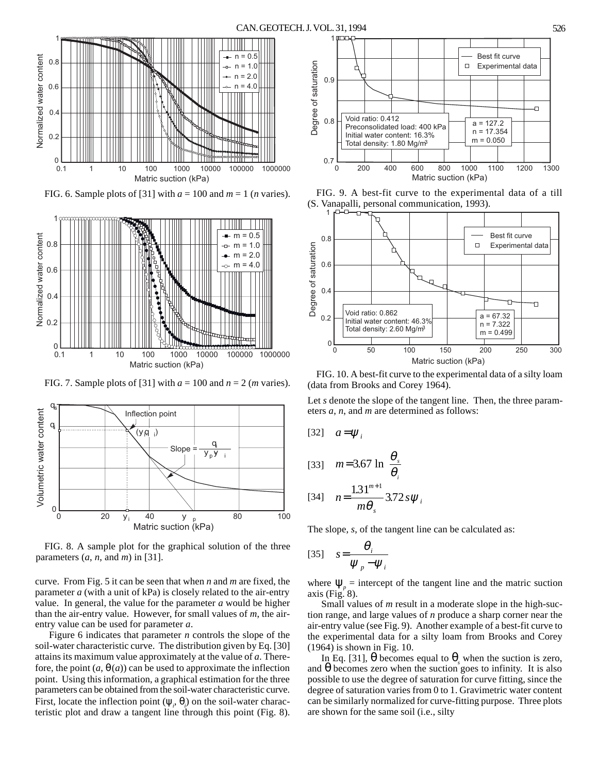

FIG. 6. Sample plots of [31] with  $a = 100$  and  $m = 1$  (*n* varies).



FIG. 7. Sample plots of [31] with  $a = 100$  and  $n = 2$  (*m* varies).



FIG. 8. A sample plot for the graphical solution of the three parameters  $(a, n, \text{ and } m)$  in [31].

curve. From Fig. 5 it can be seen that when *n* and *m* are fixed, the parameter *a* (with a unit of kPa) is closely related to the air-entry value. In general, the value for the parameter *a* would be higher than the air-entry value. However, for small values of *m*, the airentry value can be used for parameter *a*.

Figure 6 indicates that parameter *n* controls the slope of the soil-water characteristic curve. The distribution given by Eq. [30] attains its maximum value approximately at the value of *a*. Therefore, the point  $(a, \theta(a))$  can be used to approximate the inflection point. Using this information, a graphical estimation for the three parameters can be obtained from the soil-water characteristic curve. First, locate the inflection point  $(\psi_{i}, \theta_{i})$  on the soil-water characteristic plot and draw a tangent line through this point (Fig. 8).



FIG. 9. A best-fit curve to the experimental data of a till (S. Vanapalli, personal communication, 1993).



FIG. 10. A best-fit curve to the experimental data of a silty loam (data from Brooks and Corey 1964).

Let *s* denote the slope of the tangent line. Then, the three parameters *a*, *n*, and *m* are determined as follows:

[32] 
$$
a = \psi_i
$$
  
\n[33]  $m = 3.67 \ln\left(\frac{\theta_s}{\theta_i}\right)$   
\n[34]  $n = \frac{1.31^{m+1}}{m\theta_s} 3.72 s \psi_i$ 

The slope, *s*, of the tangent line can be calculated as:

$$
[35] \quad s = \frac{\theta_i}{\psi_p - \psi_i}
$$

where  $\Psi_p$  = intercept of the tangent line and the matric suction axis (Fig.  $8$ ).

Small values of *m* result in a moderate slope in the high-suction range, and large values of *n* produce a sharp corner near the air-entry value (see Fig. 9). Another example of a best-fit curve to the experimental data for a silty loam from Brooks and Corey (1964) is shown in Fig. 10.

In Eq. [31],  $\theta$  becomes equal to  $\theta_s$  when the suction is zero, and  $\theta$  becomes zero when the suction goes to infinity. It is also possible to use the degree of saturation for curve fitting, since the degree of saturation varies from 0 to 1. Gravimetric water content can be similarly normalized for curve-fitting purpose. Three plots are shown for the same soil (i.e., silty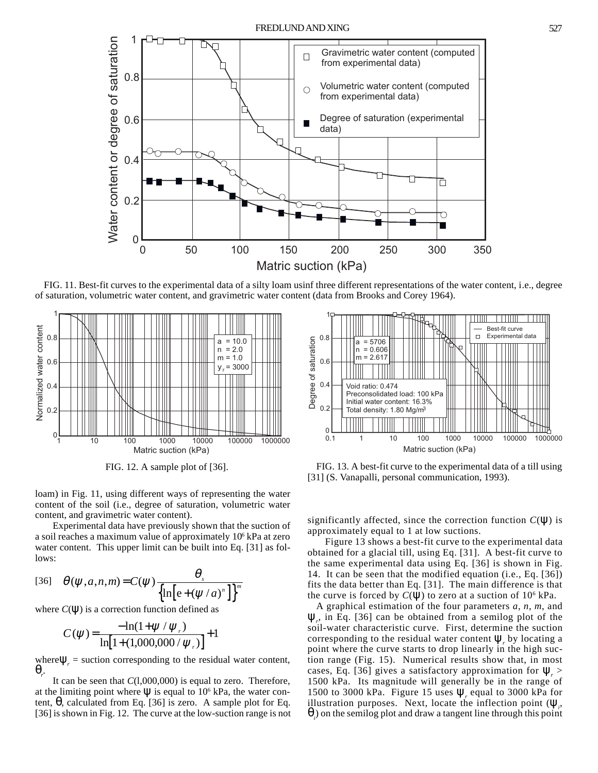

FIG. 11. Best-fit curves to the experimental data of a silty loam usinf three different representations of the water content, i.e., degree of saturation, volumetric water content, and gravimetric water content (data from Brooks and Corey 1964).



loam) in Fig. 11, using different ways of representing the water content of the soil (i.e., degree of saturation, volumetric water content, and gravimetric water content).

Experimental data have previously shown that the suction of a soil reaches a maximum value of approximately 10<sup>6</sup> kPa at zero water content. This upper limit can be built into Eq. [31] as follows:

[36] 
$$
\theta(\psi, a, n, m) = C(\psi) \frac{\theta_s}{\left\{\ln \left[e + (\psi/a)^n\right]\right\}^m}
$$

where  $C(\Psi)$  is a correction function defined as

$$
C(\psi) = \frac{-\ln(1+\psi/\psi_*)}{\ln[1+(1,000,000/\psi_*)]} + 1
$$

where  $\Psi_r$  = suction corresponding to the residual water content, θ*r* .

It can be seen that *C*(l,000,000) is equal to zero. Therefore, at the limiting point where  $\Psi$  is equal to 10<sup>6</sup> kPa, the water content,  $θ$ , calculated from Eq. [36] is zero. A sample plot for Eq. [36] is shown in Fig. 12. The curve at the low-suction range is not



FIG. 12. A sample plot of [36]. FIG. 13. A best-fit curve to the experimental data of a till using [31] (S. Vanapalli, personal communication, 1993).

significantly affected, since the correction function  $C(\Psi)$  is approximately equal to 1 at low suctions.

Figure 13 shows a best-fit curve to the experimental data obtained for a glacial till, using Eq. [31]. A best-fit curve to the same experimental data using Eq. [36] is shown in Fig. 14. It can be seen that the modified equation (i.e., Eq. [36]) fits the data better than Eq. [31]. The main difference is that the curve is forced by  $C(\Psi)$  to zero at a suction of  $10^6$  kPa.

A graphical estimation of the four parameters *a*, *n*, *m*, and  $\Psi_r$ , in Eq. [36] can be obtained from a semilog plot of the soil-water characteristic curve. First, determine the suction corresponding to the residual water content  $\Psi_r$  by locating a point where the curve starts to drop linearly in the high suction range (Fig. 15). Numerical results show that, in most cases, Eq. [36] gives a satisfactory approximation for  $\Psi$ <sub>r</sub> > 1500 kPa. Its magnitude will generally be in the range of 1500 to 3000 kPa. Figure 15 uses  $\Psi$ <sub>r</sub> equal to 3000 kPa for illustration purposes. Next, locate the inflection point  $(\psi_{i})$  $\theta$ <sub>i</sub>) on the semilog plot and draw a tangent line through this point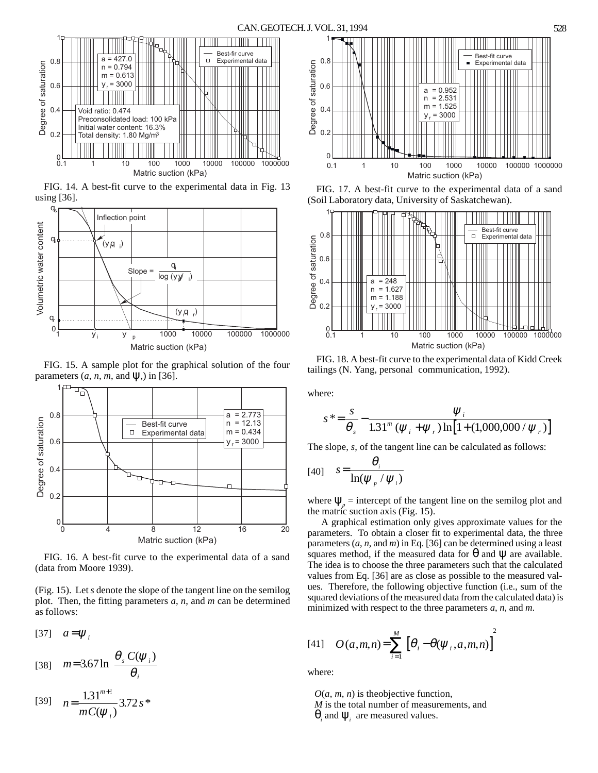

FIG. 14. A best-fit curve to the experimental data in Fig. 13 using [36].



FIG. 15. A sample plot for the graphical solution of the four parameters  $(a, n, m, \text{ and } \Psi)$  in [36].



FIG. 16. A best-fit curve to the experimental data of a sand (data from Moore 1939).

(Fig. 15). Let *s* denote the slope of the tangent line on the semilog plot. Then, the fitting parameters *a*, *n*, and *m* can be determined as follows:

 $[37]$   $a = \psi_i$ 

$$
[38] \quad m=3.67 \ln \left[ \frac{\theta_s C(\psi_i)}{\theta_i} \right]
$$

[39] 
$$
n = \frac{1.31^{m+1}}{mC(\psi_i)} 3.72 s^*
$$



FIG. 17. A best-fit curve to the experimental data of a sand (Soil Laboratory data, University of Saskatchewan).



FIG. 18. A best-fit curve to the experimental data of Kidd Creek tailings (N. Yang, personal communication, 1992).

where:

$$
s^* = \frac{s}{\theta_s} - \frac{\psi_i}{1.31^m (\psi_i + \psi_r) \ln[1 + (1,000,000/\psi_r)]}
$$

The slope, *s*, of the tangent line can be calculated as follows:

$$
[40] \quad s = \frac{\theta_i}{\ln(\psi_p / \psi_i)}
$$

where  $\Psi_p$  = intercept of the tangent line on the semilog plot and the matric suction axis (Fig. 15).

A graphical estimation only gives approximate values for the parameters. To obtain a closer fit to experimental data, the three parameters (*a*, *n*, and *m*) in Eq. [36] can be determined using a least squares method, if the measured data for  $\theta$  and  $\psi$  are available. The idea is to choose the three parameters such that the calculated values from Eq. [36] are as close as possible to the measured values. Therefore, the following objective function (i.e., sum of the squared deviations of the measured data from the calculated data) is minimized with respect to the three parameters *a*, *n*, and *m*.

[41] 
$$
O(a,m,n) = \sum_{i=1}^{M} [\theta_i - \theta(\psi_i, a, m, n)]^2
$$

where:

 $O(a, m, n)$  is the objective function, *M* is the total number of measurements, and  $\theta$ <sub>*i*</sub> and  $\Psi$ <sub>*i*</sub> are measured values.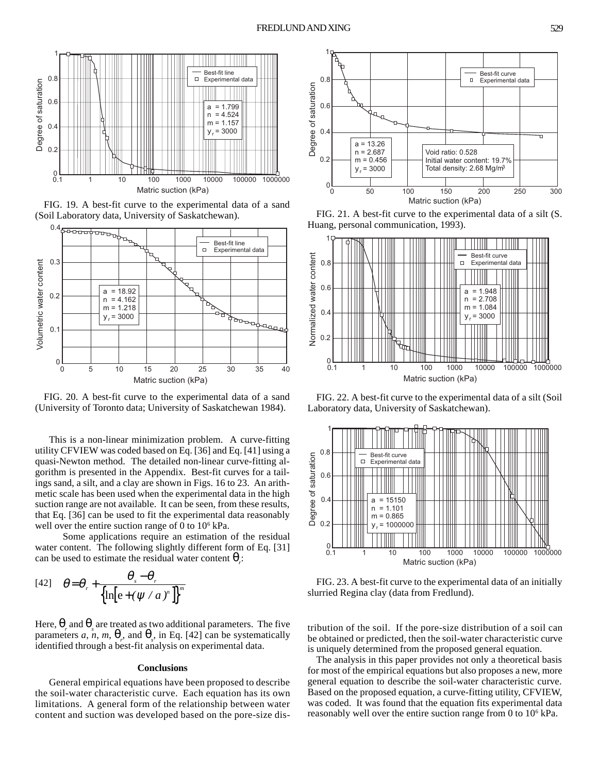

FIG. 19. A best-fit curve to the experimental data of a sand (Soil Laboratory data, University of Saskatchewan). FIG. 21. A best-fit curve to the experimental data of a silt (S.



FIG. 20. A best-fit curve to the experimental data of a sand (University of Toronto data; University of Saskatchewan 1984).

This is a non-linear minimization problem. A curve-fitting utility CFVIEW was coded based on Eq. [36] and Eq. [41] using a quasi-Newton method. The detailed non-linear curve-fitting algorithm is presented in the Appendix. Best-fit curves for a tailings sand, a silt, and a clay are shown in Figs. 16 to 23. An arithmetic scale has been used when the experimental data in the high suction range are not available. It can be seen, from these results, that Eq. [36] can be used to fit the experimental data reasonably well over the entire suction range of 0 to  $10^6$  kPa.

Some applications require an estimation of the residual water content. The following slightly different form of Eq. [31] can be used to estimate the residual water content  $\theta$ <sub>r</sub>.

$$
[42] \quad \theta = \theta_r + \frac{\theta_s - \theta_r}{\left\{\ln\left[e + \left(\psi / a\right)^n\right]\right\}^m}
$$

Here,  $\theta_{r}$  and  $\theta_{s}$  are treated as two additional parameters. The five parameters *a*, *n*, *m*,  $\theta_r$ , and  $\theta_s$ , in Eq. [42] can be systematically identified through a best-fit analysis on experimental data.

#### **Conclusions**

General empirical equations have been proposed to describe the soil-water characteristic curve. Each equation has its own limitations. A general form of the relationship between water content and suction was developed based on the pore-size dis-



Huang, personal communication, 1993).



FIG. 22. A best-fit curve to the experimental data of a silt (Soil Laboratory data, University of Saskatchewan).



FIG. 23. A best-fit curve to the experimental data of an initially slurried Regina clay (data from Fredlund).

tribution of the soil. If the pore-size distribution of a soil can be obtained or predicted, then the soil-water characteristic curve is uniquely determined from the proposed general equation.

The analysis in this paper provides not only a theoretical basis for most of the empirical equations but also proposes a new, more general equation to describe the soil-water characteristic curve. Based on the proposed equation, a curve-fitting utility, CFVIEW, was coded. It was found that the equation fits experimental data reasonably well over the entire suction range from 0 to 10<sup>6</sup> kPa.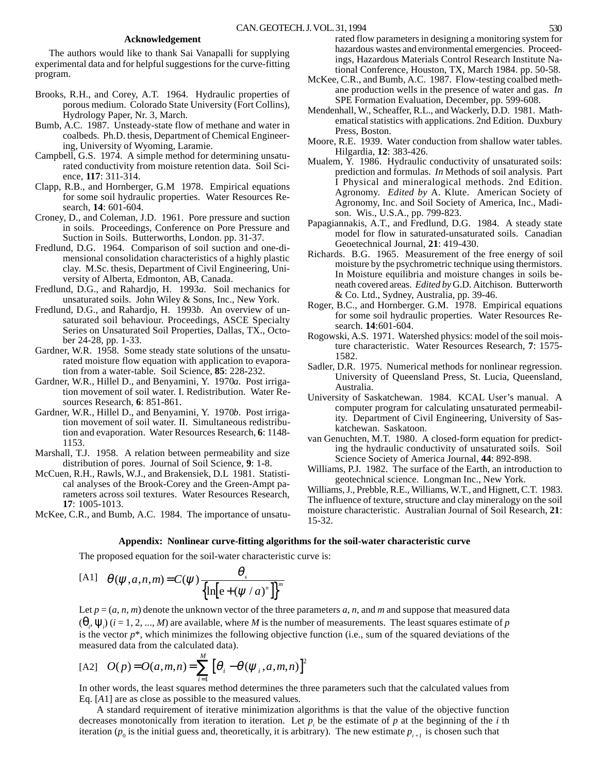## **Acknowledgement**

The authors would like to thank Sai Vanapalli for supplying experimental data and for helpful suggestions for the curve-fitting program.

- Brooks, R.H., and Corey, A.T. 1964. Hydraulic properties of porous medium. Colorado State University (Fort Collins), Hydrology Paper, Nr. 3, March.
- Bumb, A.C. 1987. Unsteady-state flow of methane and water in coalbeds. Ph.D. thesis, Department of Chemical Engineering, University of Wyoming, Laramie.
- Campbell, G.S. 1974. A simple method for determining unsaturated conductivity from moisture retention data. Soil Science, **117**: 311-314.
- Clapp, R.B., and Hornberger, G.M 1978. Empirical equations for some soil hydraulic properties. Water Resources Research, **14**: 601-604.
- Croney, D., and Coleman, J.D. 1961. Pore pressure and suction in soils. Proceedings, Conference on Pore Pressure and Suction in Soils. Butterworths, London. pp. 31-37.
- Fredlund, D.G. 1964. Comparison of soil suction and one-dimensional consolidation characteristics of a highly plastic clay. M.Sc. thesis, Department of Civil Engineering, University of Alberta, Edmonton, AB, Canada.
- Fredlund, D.G., and Rahardjo, H. 1993*a*. Soil mechanics for unsaturated soils. John Wiley & Sons, Inc., New York.
- Fredlund, D.G., and Rahardjo, H. 1993*b*. An overview of unsaturated soil behaviour. Proceedings, ASCE Specialty Series on Unsaturated Soil Properties, Dallas, TX., October 24-28, pp. 1-33.
- Gardner, W.R. 1958. Some steady state solutions of the unsaturated moisture flow equation with application to evaporation from a water-table. Soil Science, **85**: 228-232.
- Gardner, W.R., Hillel D., and Benyamini, Y. 1970*a*. Post irrigation movement of soil water. I. Redistribution. Water Resources Research, **6**: 851-861.
- Gardner, W.R., Hillel D., and Benyamini, Y. 1970*b*. Post irrigation movement of soil water. II. Simultaneous redistribution and evaporation. Water Resources Research, **6**: 1148- 1153.
- Marshall, T.J. 1958. A relation between permeability and size distribution of pores. Journal of Soil Science, **9**: 1-8.
- McCuen, R.H., Rawls, W.J., and Brakensiek, D.L 1981. Statistical analyses of the Brook-Corey and the Green-Ampt parameters across soil textures. Water Resources Research, **17**: 1005-1013.

McKee, C.R., and Bumb, A.C. 1984. The importance of unsatu-

rated flow parameters in designing a monitoring system for hazardous wastes and environmental emergencies. Proceedings, Hazardous Materials Control Research Institute National Conference, Houston, TX, March 1984. pp. 50-58.

- McKee, C.R., and Bumb, A.C. 1987. Flow-testing coalbed methane production wells in the presence of water and gas. *In* SPE Formation Evaluation, December, pp. 599-608.
- Mendenhall, W., Scheaffer, R.L., and Wackerly, D.D. 1981. Mathematical statistics with applications. 2nd Edition. Duxbury Press, Boston.
- Moore, R.E. 1939. Water conduction from shallow water tables. Hilgardia, **12**: 383-426.
- Mualem, Y. 1986. Hydraulic conductivity of unsaturated soils: prediction and formulas. *In* Methods of soil analysis. Part I Physical and mineralogical methods. 2nd Edition. Agronomy. *Edited by* A. Klute. American Society of Agronomy, Inc. and Soil Society of America, Inc., Madison. Wis., U.S.A., pp. 799-823.
- Papagiannakis, A.T., and Fredlund, D.G. 1984. A steady state model for flow in saturated-unsaturated soils. Canadian Geoetechnical Journal, **21**: 419-430.
- Richards. B.G. 1965. Measurement of the free energy of soil moisture by the psychrometric technique using thermistors. In Moisture equilibria and moisture changes in soils beneath covered areas. *Edited by* G.D. Aitchison. Butterworth & Co. Ltd., Sydney, Australia, pp. 39-46.
- Roger, B.C., and Hornberger. G.M. 1978. Empirical equations for some soil hydraulic properties. Water Resources Research. **14**:601-604.
- Rogowski, A.S. 1971. Watershed physics: model of the soil moisture characteristic. Water Resources Research, **7**: 1575- 1582.
- Sadler, D.R. 1975. Numerical methods for nonlinear regression. University of Queensland Press, St. Lucia, Queensland, Australia.
- University of Saskatchewan. 1984. KCAL User's manual. A computer program for calculating unsaturated permeability. Department of Civil Engineering, University of Saskatchewan. Saskatoon.
- van Genuchten, M.T. 1980. A closed-form equation for predicting the hydraulic conductivity of unsaturated soils. Soil Science Society of America Journal, **44**: 892-898.
- Williams, P.J. 1982. The surface of the Earth, an introduction to geotechnical science. Longman Inc., New York.

Williams, J., Prebble, R.E., Williams, W.T., and Hignett, C.T. 1983. The influence of texture, structure and clay mineralogy on the soil moisture characteristic. Australian Journal of Soil Research, **21**: 15-32.

## **Appendix: Nonlinear curve-fitting algorithms for the soil-water characteristic curve**

The proposed equation for the soil-water characteristic curve is:

$$
[A1] \quad \theta(\psi,a,n,m) = C(\psi) \frac{\theta_s}{\left\{\ln \left[e + (\psi / a)^n\right]\right\}^m}
$$

Let  $p = (a, n, m)$  denote the unknown vector of the three parameters  $a, n$ , and  $m$  and suppose that measured data  $(\theta_i, \psi_i)$  (*i* = 1, 2, ..., *M*) are available, where *M* is the number of measurements. The least squares estimate of *p* is the vector  $p^*$ , which minimizes the following objective function (i.e., sum of the squared deviations of the measured data from the calculated data).

$$
[A2] \quad O(p) = O(a, m, n) = \sum_{i=1}^{M} \left[ \theta_i - \theta(\psi_i, a, m, n) \right]^2
$$

In other words, the least squares method determines the three parameters such that the calculated values from Eq. [*A*1] are as close as possible to the measured values.

A standard requirement of iterative minimization algorithms is that the value of the objective function decreases monotonically from iteration to iteration. Let  $p_i$  be the estimate of  $p$  at the beginning of the  $i$  th iteration  $(p_0$  is the initial guess and, theoretically, it is arbitrary). The new estimate  $p_{i+1}$  is chosen such that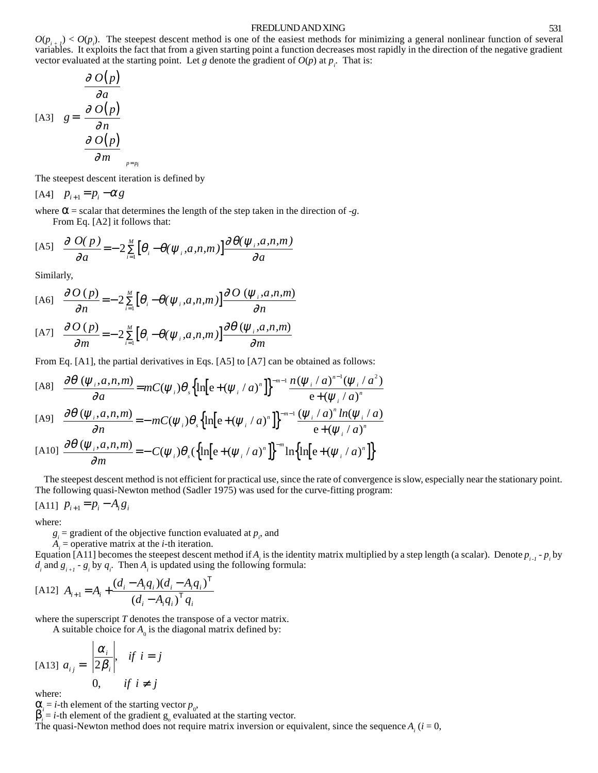#### FREDLUND AND XING 531

 $O(p_{i+1}) < O(p_i)$ . The steepest descent method is one of the easiest methods for minimizing a general nonlinear function of several variables. It exploits the fact that from a given starting point a function decreases most rapidly in the direction of the negative gradient vector evaluated at the starting point. Let *g* denote the gradient of  $O(p)$  at  $p_i$ . That is:

$$
\begin{bmatrix}\nA3\end{bmatrix} \quad g = \begin{bmatrix}\n\frac{\partial O(p)}{\partial a} \\
\frac{\partial O(p)}{\partial n} \\
\frac{\partial O(p)}{\partial m}\n\end{bmatrix}_{p=p_i}
$$

The steepest descent iteration is defined by

 $[A4]$   $p_{i+1} = p_i - \alpha g$ 

where  $\alpha$  = scalar that determines the length of the step taken in the direction of -*g*. From Eq. [A2] it follows that:

$$
[A5] \quad \frac{\partial}{\partial a} O(p) = -2 \sum_{i=1}^{M} \left[ \theta_i - \theta(\psi_i, a, n, m) \right] \frac{\partial \theta(\psi_i, a, n, m)}{\partial a}
$$

Similarly,

$$
\text{[A6]} \quad \frac{\partial O(p)}{\partial n} = -2 \sum_{i=1}^{M} \left[ \theta_i - \theta(\psi_i, a, n, m) \right] \frac{\partial O(\psi_i, a, n, m)}{\partial n}
$$

$$
[A7] \quad \frac{\partial O(p)}{\partial m} = -2 \sum_{i=1}^{M} \left[ \theta_i - \theta(\psi_i, a, n, m) \right] \frac{\partial \theta(\psi_i, a, n, m)}{\partial m}
$$

From Eq. [A1], the partial derivatives in Eqs. [A5] to [A7] can be obtained as follows:

[A8] 
$$
\frac{\partial \theta(\psi_i, a, n, m)}{\partial a} = mC(\psi_i)\theta_s \left\{ \ln \left[ e + (\psi_i/a)^n \right] \right\}^{-m-1} \frac{n(\psi_i/a)^{n-1}(\psi_i/a^2)}{e + (\psi_i/a)^n}
$$

$$
\text{[A9]} \quad \frac{\partial \theta\left(\psi_i, a, n, m\right)}{\partial n} = -mC(\psi_i)\theta_s \left\{\ln\left[e + \left(\psi_i / a\right)^n\right]\right\}^{-m-1} \frac{\left(\psi_i / a\right)^n \ln(\psi_i / a)}{e + \left(\psi_i / a\right)^n}
$$

$$
[A10] \frac{\partial \theta(\psi_i, a, n, m)}{\partial m} = -C(\psi_i)\theta_s(\left\{\ln[e+(\psi_i/a)^n]\right\}^{-m}\ln\left\{\ln[e+(\psi_i/a)^n]\right\}
$$

The steepest descent method is not efficient for practical use, since the rate of convergence is slow, especially near the stationary point. The following quasi-Newton method (Sadler 1975) was used for the curve-fitting program:

$$
[A11] \ \ p_{i+1} = p_i - A_i g_i
$$

where:

 $g_i$  = gradient of the objective function evaluated at  $p_i$ , and

 $A_i$  = operative matrix at the *i*-th iteration.

Equation [A11] becomes the steepest descent method if  $A_i$  is the identity matrix multiplied by a step length (a scalar). Denote  $p_{i-1}$  -  $p_i$  by  $d_i$  and  $g_{i+1}$  -  $g_i$  by  $q_i$ . Then  $A_i$  is updated using the following formula:

$$
[A12] A_{i+1} = A_i + \frac{(d_i - A_i q_i)(d_i - A_i q_i)^T}{(d_i - A_i q_i)^T q_i}
$$

where the superscript *T* denotes the transpose of a vector matrix.

A suitable choice for  $A_0$  is the diagonal matrix defined by:

$$
\begin{aligned}\n\text{[A13] } a_{ij} = \n\begin{cases}\n\frac{\alpha_i}{2\beta_i}, & \text{if } i = j \\
0, & \text{if } i \neq j\n\end{cases}\n\end{aligned}
$$

, where:

 $\alpha_i = i$ -th element of the starting vector  $p_0$ ,

 $\beta_i = i$ -th element of the gradient  $g_0$  evaluated at the starting vector.

The quasi-Newton method does not require matrix inversion or equivalent, since the sequence  $A_i$  ( $i = 0$ ,